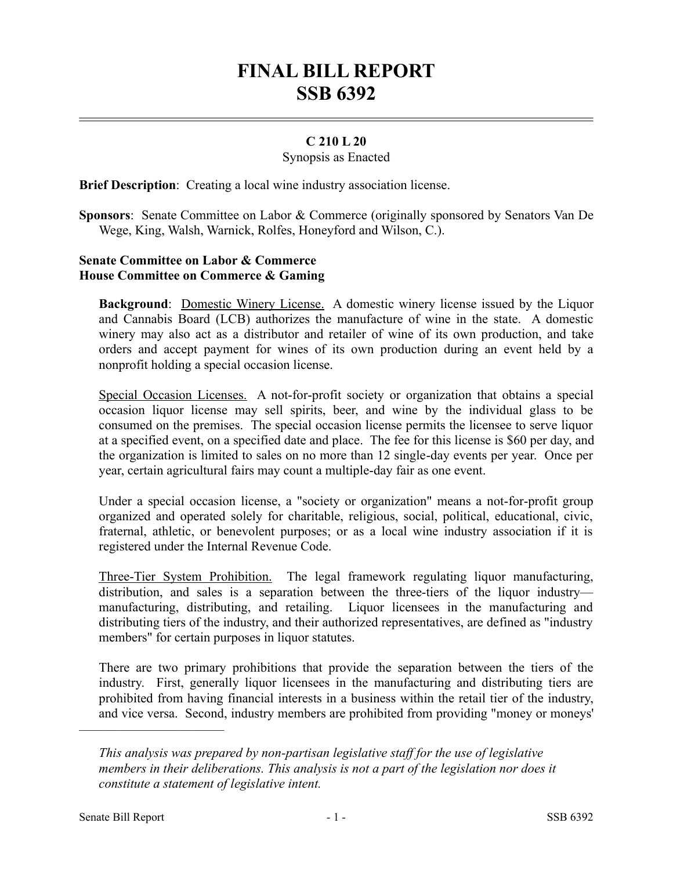# **FINAL BILL REPORT SSB 6392**

## **C 210 L 20**

#### Synopsis as Enacted

**Brief Description**: Creating a local wine industry association license.

**Sponsors**: Senate Committee on Labor & Commerce (originally sponsored by Senators Van De Wege, King, Walsh, Warnick, Rolfes, Honeyford and Wilson, C.).

# **Senate Committee on Labor & Commerce House Committee on Commerce & Gaming**

**Background**: Domestic Winery License. A domestic winery license issued by the Liquor and Cannabis Board (LCB) authorizes the manufacture of wine in the state. A domestic winery may also act as a distributor and retailer of wine of its own production, and take orders and accept payment for wines of its own production during an event held by a nonprofit holding a special occasion license.

Special Occasion Licenses. A not-for-profit society or organization that obtains a special occasion liquor license may sell spirits, beer, and wine by the individual glass to be consumed on the premises. The special occasion license permits the licensee to serve liquor at a specified event, on a specified date and place. The fee for this license is \$60 per day, and the organization is limited to sales on no more than 12 single-day events per year. Once per year, certain agricultural fairs may count a multiple-day fair as one event.

Under a special occasion license, a "society or organization" means a not-for-profit group organized and operated solely for charitable, religious, social, political, educational, civic, fraternal, athletic, or benevolent purposes; or as a local wine industry association if it is registered under the Internal Revenue Code.

Three-Tier System Prohibition. The legal framework regulating liquor manufacturing, distribution, and sales is a separation between the three-tiers of the liquor industry manufacturing, distributing, and retailing. Liquor licensees in the manufacturing and distributing tiers of the industry, and their authorized representatives, are defined as "industry members" for certain purposes in liquor statutes.

There are two primary prohibitions that provide the separation between the tiers of the industry. First, generally liquor licensees in the manufacturing and distributing tiers are prohibited from having financial interests in a business within the retail tier of the industry, and vice versa. Second, industry members are prohibited from providing "money or moneys'

––––––––––––––––––––––

*This analysis was prepared by non-partisan legislative staff for the use of legislative members in their deliberations. This analysis is not a part of the legislation nor does it constitute a statement of legislative intent.*